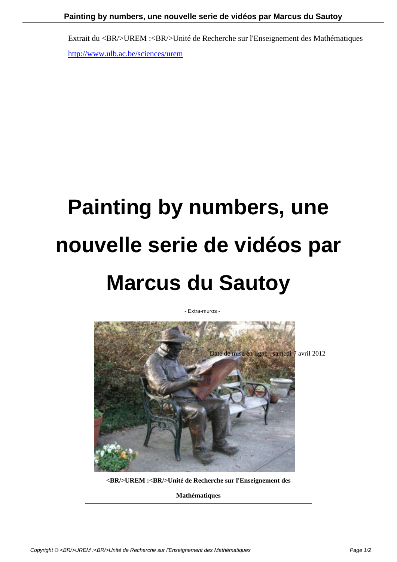Extrait du <BR/>UREM :<BR/>Unité de Recherche sur l'Enseignement des Mathématiques http://www.ulb.ac.be/sciences/urem

## **Painting by numbers, une nouvelle serie de vidéos par Marcus du Sautoy**

- Extra-muros -



**<BR/>UREM :<BR/>Unité de Recherche sur l'Enseignement des**

**Mathématiques**